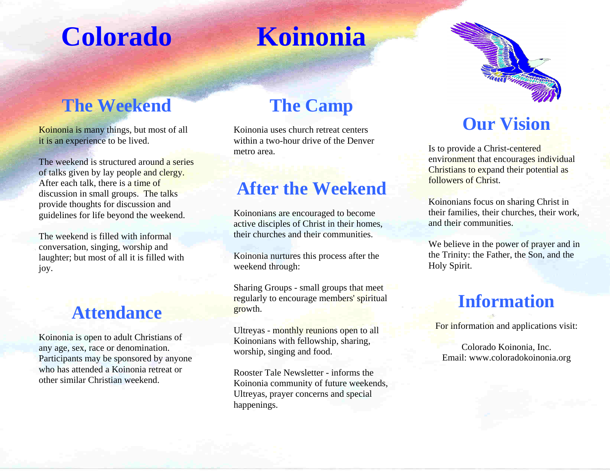## **Colorado**

### **Koinonia**

#### **The Weekend**

Koinonia is many things, but most of all it is an experience to be lived.

The weekend is structured around a series of talks given by lay people and clergy. After each talk, there is a time of discussion in small groups. The talks provide thoughts for discussion and guidelines for life beyond the weekend.

The weekend is filled with informal conversation, singing, worship and laughter; but most of all it is filled with joy.

#### **Attendance**

Koinonia is open to adult Christians of any age, sex, race or denomination. Participants may be sponsored by anyone who has attended a Koinonia retreat or other similar Christian weekend.

#### **The Camp**

Koinonia uses church retreat centers within a two-hour drive of the Denver metro area.

#### **After the Weekend**

Koinonians are encouraged to become active disciples of Christ in their homes, their churches and their communities.

Koinonia nurtures this process after the weekend through:

Sharing Groups - small groups that meet regularly to encourage members' spiritual growth.

Ultreyas - monthly reunions open to all Koinonians with fellowship, sharing, worship, singing and food.

Rooster Tale Newsletter - informs the Koinonia community of future weekends, Ultreyas, prayer concerns and special happenings.



#### **Our Vision**

Is to provide a Christ-centered environment that encourages individual Christians to expand their potential as followers of Christ.

Koinonians focus on sharing Christ in their families, their churches, their work, and their communities.

We believe in the power of prayer and in the Trinity: the Father, the Son, and the Holy Spirit.

#### **Information**

For information and applications visit:

Colorado Koinonia, Inc. Email: www.coloradokoinonia.org